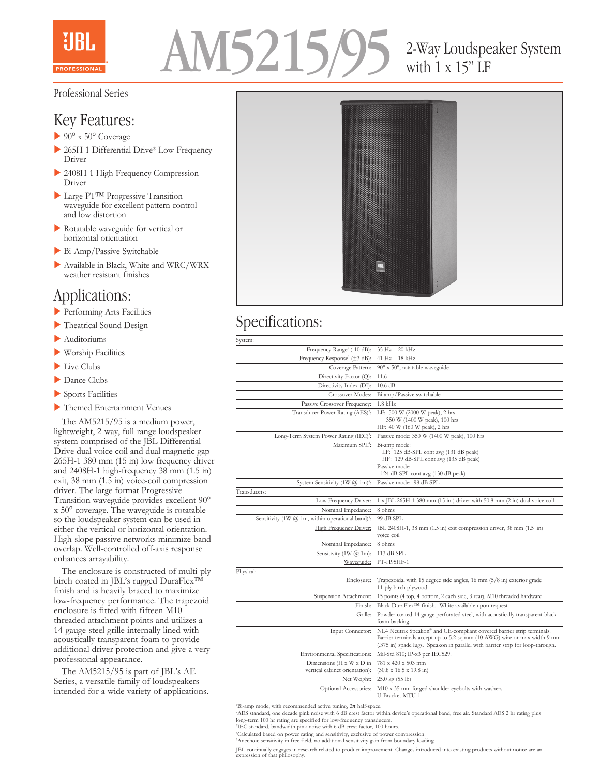



# with 1 x 15" LF

### Professional Series

## Key Features:

- $\blacktriangleright$  90° x 50° Coverage
- $\triangleright$  265H-1 Differential Drive® Low-Frequency Driver
- ▶ 2408H-1 High-Frequency Compression Driver
- ▶ Large PT™ Progressive Transition waveguide for excellent pattern control and low distortion
- **Rotatable waveguide for vertical or** horizontal orientation
- $\blacktriangleright$  Bi-Amp/Passive Switchable
- Available in Black, White and WRC/WRX weather resistant finishes

## Applications:

- **Performing Arts Facilities**
- $\blacktriangleright$  Theatrical Sound Design
- $\blacktriangleright$  Auditoriums
- $\blacktriangleright$  Worship Facilities
- $\blacktriangleright$  Live Clubs
- $\blacktriangleright$  Dance Clubs
- $\blacktriangleright$  Sports Facilities
- **International Property** Themed Entertainment Venues

 The AM5215/95 is a medium power, lightweight, 2-way, full-range loudspeaker system comprised of the JBL Differential Drive dual voice coil and dual magnetic gap 265H-1 380 mm (15 in) low frequency driver and 2408H-1 high-frequency 38 mm (1.5 in) exit, 38 mm (1.5 in) voice-coil compression driver. The large format Progressive Transition waveguide provides excellent 90° x 50° coverage. The waveguide is rotatable so the loudspeaker system can be used in either the vertical or horizontal orientation. High-slope passive networks minimize band overlap. Well-controlled off-axis response enhances arrayability.

 The enclosure is constructed of multi-ply birch coated in JBL's rugged DuraFlex<sup>TM</sup> finish and is heavily braced to maximize low-frequency performance. The trapezoid enclosure is fitted with fifteen M10 threaded attachment points and utilizes a 14-gauge steel grille internally lined with acoustically transparent foam to provide additional driver protection and give a very professional appearance.

 The AM5215/95 is part of JBL's AE Series, a versatile family of loudspeakers intended for a wide variety of applications.



## Specifications:

| ×<br>×<br>v<br>. .<br>v<br>۰, |  |
|-------------------------------|--|

| Frequency Range <sup>1</sup> (-10 dB):                        | 35 Hz - 20 kHz                                                                                                                                                                                                                       |
|---------------------------------------------------------------|--------------------------------------------------------------------------------------------------------------------------------------------------------------------------------------------------------------------------------------|
| Frequency Response <sup>1</sup> (±3 dB):                      | 41 Hz - 18 kHz                                                                                                                                                                                                                       |
| Coverage Pattern:                                             | 90° x 50°, rotatable waveguide                                                                                                                                                                                                       |
| Directivity Factor (Q):                                       | 11.6                                                                                                                                                                                                                                 |
| Directivity Index (DI):                                       | $10.6$ dB                                                                                                                                                                                                                            |
| Crossover Modes:                                              | Bi-amp/Passive switchable                                                                                                                                                                                                            |
| Passive Crossover Frequency:                                  | $1.8$ kHz                                                                                                                                                                                                                            |
| Transducer Power Rating (AES) <sup>2</sup> :                  | LF: 500 W (2000 W peak), 2 hrs<br>350 W (1400 W peak), 100 hrs                                                                                                                                                                       |
|                                                               | HF: 40 W (160 W peak), 2 hrs                                                                                                                                                                                                         |
| Long-Term System Power Rating (IEC) <sup>3</sup> :            | Passive mode: 350 W (1400 W peak), 100 hrs                                                                                                                                                                                           |
| Maximum SPL <sup>4</sup> :                                    | Bi-amp mode:<br>LF: 125 dB-SPL cont avg (131 dB peak)<br>HF: 129 dB-SPL cont avg (135 dB peak)<br>Passive mode:<br>124 dB-SPL cont avg (130 dB peak)                                                                                 |
| System Sensitivity $(1 \text{W } (a) 1 \text{m})^2$ :         | Passive mode: 98 dB SPL                                                                                                                                                                                                              |
| Transducers:                                                  |                                                                                                                                                                                                                                      |
| Low Frequency Driver:                                         | 1 x JBL 265H-1 380 mm (15 in) driver with 50.8 mm (2 in) dual voice coil                                                                                                                                                             |
| Nominal Impedance:                                            | 8 ohms                                                                                                                                                                                                                               |
| Sensitivity (1W @ 1m, within operational band) <sup>3</sup> : | 99 dB SPL                                                                                                                                                                                                                            |
| <b>High Frequency Driver:</b>                                 | JBL 2408H-1, 38 mm (1.5 in) exit compression driver, 38 mm (1.5 in)<br>voice coil                                                                                                                                                    |
| Nominal Impedance:                                            | 8 ohms                                                                                                                                                                                                                               |
| Sensitivity $(1W \ (a) 1m)$ :                                 | 113 dB SPL                                                                                                                                                                                                                           |
| Waveguide:                                                    | PT-H95HF-1                                                                                                                                                                                                                           |
| Physical:                                                     |                                                                                                                                                                                                                                      |
| Enclosure:                                                    | Trapezoidal with 15 degree side angles, 16 mm (5/8 in) exterior grade<br>11-ply birch plywood                                                                                                                                        |
| Suspension Attachment:                                        | 15 points (4 top, 4 bottom, 2 each side, 3 rear), M10 threaded hardware                                                                                                                                                              |
| Finish:                                                       | Black DuraFlex <sup>TM</sup> finish. White available upon request.                                                                                                                                                                   |
| Grille:                                                       | Powder coated 14 gauge perforated steel, with acoustically transparent black<br>foam backing.                                                                                                                                        |
| Input Connector:                                              | NL4 Neutrik Speakon® and CE-compliant covered barrier strip terminals.<br>Barrier terminals accept up to 5.2 sq mm (10 AWG) wire or max width 9 mm<br>(.375 in) spade lugs. Speakon in parallel with barrier strip for loop-through. |
| Environmental Specifications:                                 | Mil-Std 810; IP-x3 per IEC529.                                                                                                                                                                                                       |
| Dimensions (H x W x D in                                      | 781 x 420 x 503 mm                                                                                                                                                                                                                   |
| vertical cabinet orientation):                                | $(30.8 \times 16.5 \times 19.8 \text{ in})$                                                                                                                                                                                          |
| Net Weight:                                                   | $25.0 \text{ kg} (55 \text{ lb})$                                                                                                                                                                                                    |
| Optional Accessories:                                         | M10 x 35 mm forged shoulder eyebolts with washers<br>U-Bracket MTU-1                                                                                                                                                                 |

1 Bi-amp mode, with recommended active tuning, 2π half-space.

°AES standard, one decade pink noise with 6 dB crest factor within device's operational band, free air. Standard AES 2 hr rating plus<br>long-term 100 hr rating are specified for low-frequency transducers.<br>'IEC standard, band

4 Calculated based on power rating and sensitivity, exclusive of power compression. 5 Anechoic sensitivity in free field, no additional sensitivity gain from boundary loading.

JBL continually engages in research related to product improvement. Changes introduced into existing products without notice are an expression of that philosophy.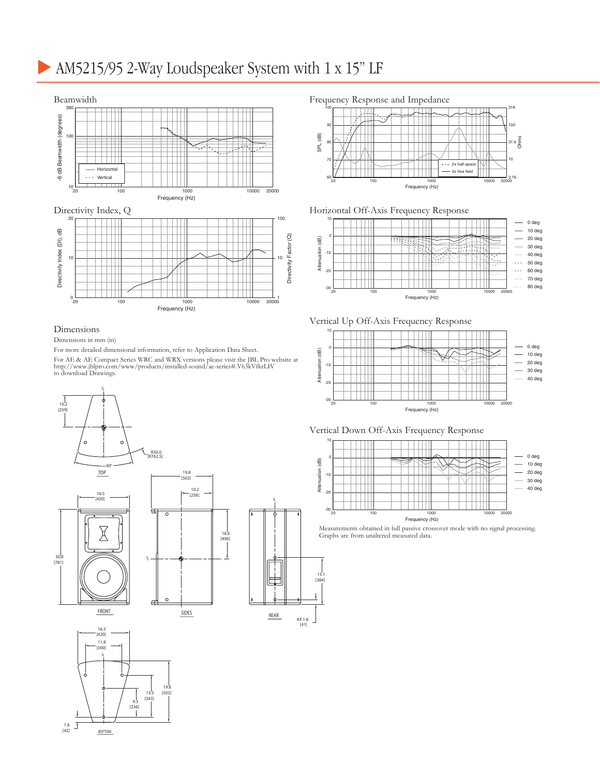## AM5215/95 2-Way Loudspeaker System with 1 x 15" LF



#### Dimensions

#### Dimensions in mm (in)

For more detailed dimensional information, refer to Application Data Sheet.

For AE & AE Compact Series WRC and WRX versions please visit the JBL Pro website at http://www.jblpro.com/www/products/installed-sound/ae-series#.V63kVfkrLIV to download Drawings.

CL

15.1 [384]

6X 1.6 [41]









#### Horizontal Off-Axis Frequency Response



Vertical Up Off-Axis Frequency Response







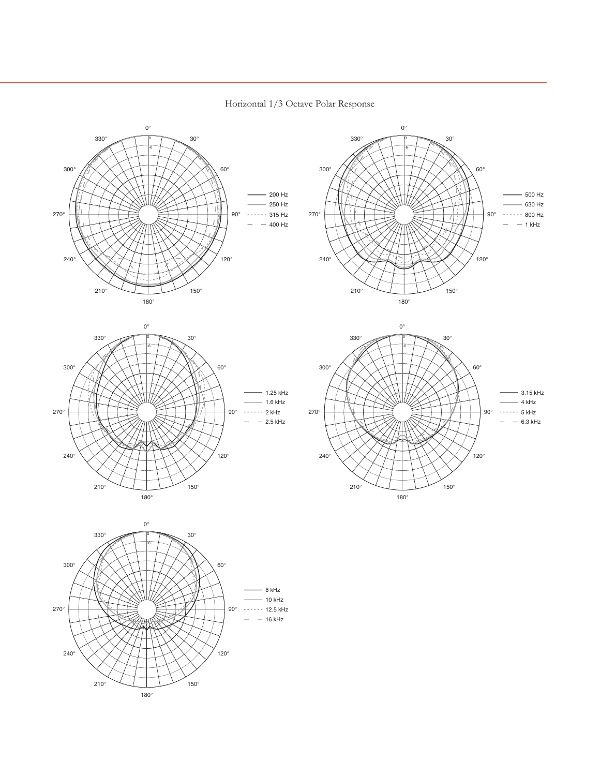